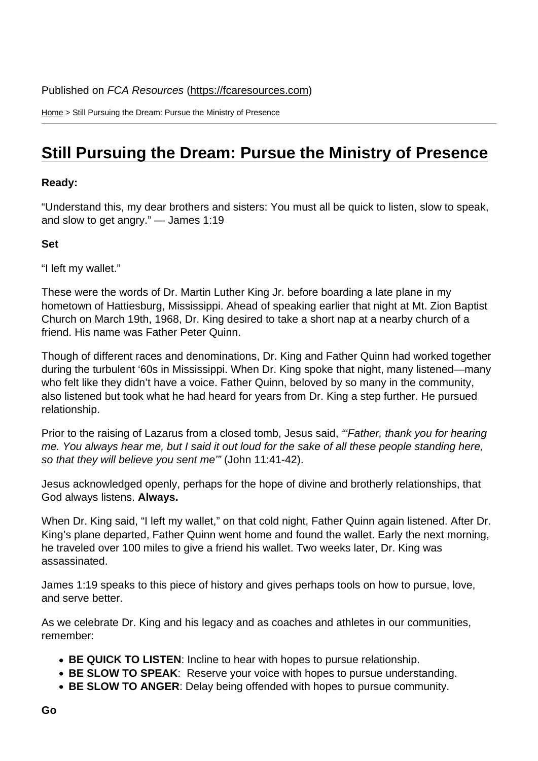Home > Still Pursuing the Dream: Pursue the Ministry of Presence

## [Stil](https://fcaresources.com/)l Pursuing the Dream: Pursue the Ministry of Presence

Ready:

["Understand this, my dear brothers and sisters: You must all be quick to listen, slow to speak,](https://fcaresources.com/devotional/still-pursuing-dream-pursue-ministry-presence) and slow to get angry." — James 1:19

Set

"I left my wallet."

These were the words of Dr. Martin Luther King Jr. before boarding a late plane in my hometown of Hattiesburg, Mississippi. Ahead of speaking earlier that night at Mt. Zion Baptist Church on March 19th, 1968, Dr. King desired to take a short nap at a nearby church of a friend. His name was Father Peter Quinn.

Though of different races and denominations, Dr. King and Father Quinn had worked together during the turbulent '60s in Mississippi. When Dr. King spoke that night, many listened—many who felt like they didn't have a voice. Father Quinn, beloved by so many in the community, also listened but took what he had heard for years from Dr. King a step further. He pursued relationship.

Prior to the raising of Lazarus from a closed tomb, Jesus said, "'Father, thank you for hearing me. You always hear me, but I said it out loud for the sake of all these people standing here, so that they will believe you sent me'" (John 11:41-42).

Jesus acknowledged openly, perhaps for the hope of divine and brotherly relationships, that God always listens. Always.

When Dr. King said, "I left my wallet," on that cold night, Father Quinn again listened. After Dr. King's plane departed, Father Quinn went home and found the wallet. Early the next morning, he traveled over 100 miles to give a friend his wallet. Two weeks later, Dr. King was assassinated.

James 1:19 speaks to this piece of history and gives perhaps tools on how to pursue, love, and serve better.

As we celebrate Dr. King and his legacy and as coaches and athletes in our communities, remember:

- BE QUICK TO LISTEN : Incline to hear with hopes to pursue relationship.
- BE SLOW TO SPEAK : Reserve your voice with hopes to pursue understanding.
- BE SLOW TO ANGER : Delay being offended with hopes to pursue community.